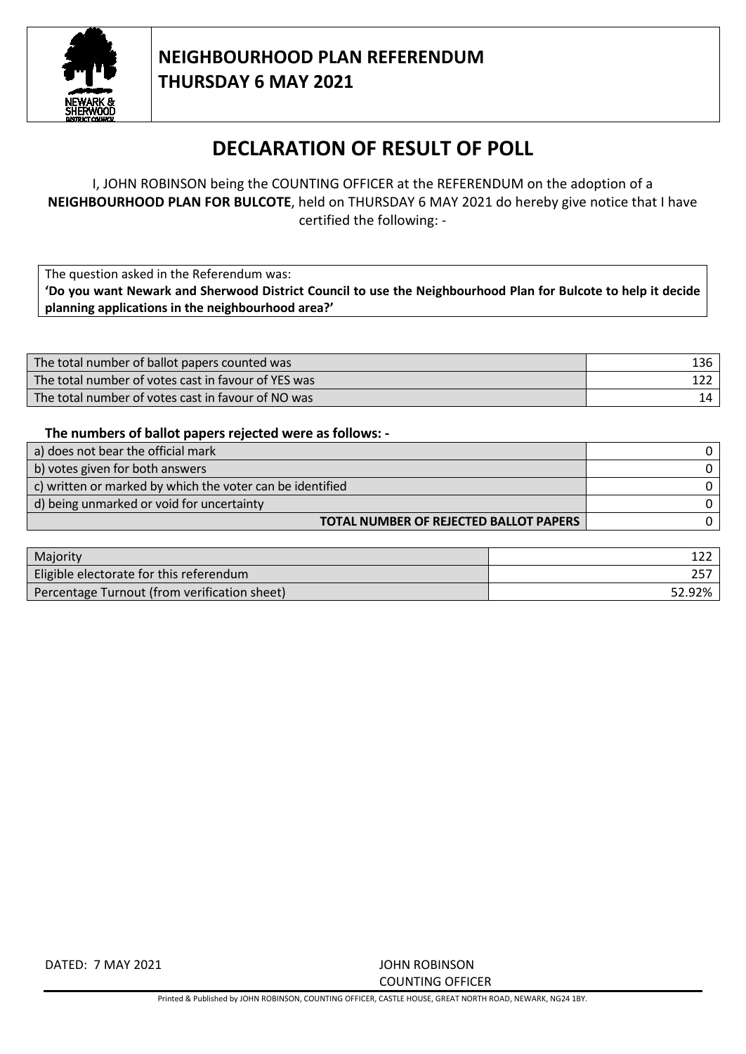

## **NEIGHBOURHOOD PLAN REFERENDUM THURSDAY 6 MAY 2021**

## **DECLARATION OF RESULT OF POLL**

I, JOHN ROBINSON being the COUNTING OFFICER at the REFERENDUM on the adoption of a **NEIGHBOURHOOD PLAN FOR BULCOTE**, held on THURSDAY 6 MAY 2021 do hereby give notice that I have certified the following: -

The question asked in the Referendum was: **'Do you want Newark and Sherwood District Council to use the Neighbourhood Plan for Bulcote to help it decide planning applications in the neighbourhood area?'**

| The total number of ballot papers counted was       | 136 |
|-----------------------------------------------------|-----|
| The total number of votes cast in favour of YES was |     |
| The total number of votes cast in favour of NO was  |     |

## **The numbers of ballot papers rejected were as follows: -**

| a) does not bear the official mark                        |  |
|-----------------------------------------------------------|--|
| b) votes given for both answers                           |  |
| c) written or marked by which the voter can be identified |  |
| d) being unmarked or void for uncertainty                 |  |
| TOTAL NUMBER OF REJECTED BALLOT PAPERS                    |  |

| Majority                                     |        |
|----------------------------------------------|--------|
| Eligible electorate for this referendum      |        |
| Percentage Turnout (from verification sheet) | 52.92% |

DATED: 7 MAY 2021 JOHN ROBINSON